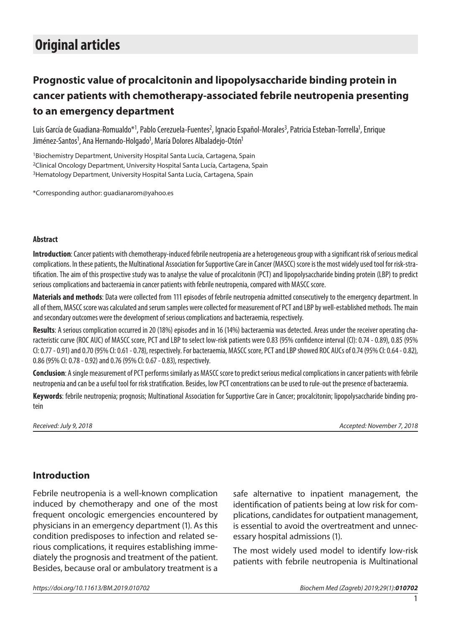# **Special issue: Responsible writing in science Original articles**

## **Prognostic value of procalcitonin and lipopolysaccharide binding protein in cancer patients with chemotherapy-associated febrile neutropenia presenting to an emergency department**

Luis García de Guadiana-Romualdo\*<sup>1</sup>, Pablo Cerezuela-Fuentes<sup>2</sup>, Ignacio Español-Morales<sup>3</sup>, Patricia Esteban-Torrella<sup>1</sup>, Enrique Jiménez-Santos<sup>1</sup>, Ana Hernando-Holgado<sup>1</sup>, María Dolores Albaladejo-Otón<sup>1</sup>

1Biochemistry Department, University Hospital Santa Lucía, Cartagena, Spain 2Clinical Oncology Department, University Hospital Santa Lucía, Cartagena, Spain <sup>3</sup>Hematology Department, University Hospital Santa Lucía, Cartagena, Spain

\*Corresponding author: [guadianarom@yahoo.es](mailto:guadianarom@yahoo.es)

#### **Abstract**

**Introduction**: Cancer patients with chemotherapy-induced febrile neutropenia are a heterogeneous group with a significant risk of serious medical complications. In these patients, the Multinational Association for Supportive Care in Cancer (MASCC) score is the most widely used tool for risk-stratification. The aim of this prospective study was to analyse the value of procalcitonin (PCT) and lipopolysaccharide binding protein (LBP) to predict serious complications and bacteraemia in cancer patients with febrile neutropenia, compared with MASCC score.

**Materials and methods**: Data were collected from 111 episodes of febrile neutropenia admitted consecutively to the emergency department. In all of them, MASCC score was calculated and serum samples were collected for measurement of PCT and LBP by well-established methods. The main and secondary outcomes were the development of serious complications and bacteraemia, respectively.

**Results**: A serious complication occurred in 20 (18%) episodes and in 16 (14%) bacteraemia was detected. Areas under the receiver operating characteristic curve (ROC AUC) of MASCC score, PCT and LBP to select low-risk patients were 0.83 (95% confidence interval (CI): 0.74 - 0.89), 0.85 (95% CI: 0.77 - 0.91) and 0.70 (95% CI: 0.61 - 0.78), respectively. For bacteraemia, MASCC score, PCT and LBP showed ROC AUCs of 0.74 (95% CI: 0.64 - 0.82), 0.86 (95% CI: 0.78 - 0.92) and 0.76 (95% CI: 0.67 - 0.83), respectively.

**Conclusion**: A single measurement of PCT performs similarly as MASCC score to predict serious medical complications in cancer patients with febrile neutropenia and can be a useful tool for risk stratification. Besides, low PCT concentrations can be used to rule-out the presence of bacteraemia.

**Keywords**: febrile neutropenia; prognosis; Multinational Association for Supportive Care in Cancer; procalcitonin; lipopolysaccharide binding protein

*Received: July 9, 2018 Accepted: November 7, 2018*

#### **Introduction**

Febrile neutropenia is a well-known complication induced by chemotherapy and one of the most frequent oncologic emergencies encountered by physicians in an emergency department (1). As this condition predisposes to infection and related serious complications, it requires establishing immediately the prognosis and treatment of the patient. Besides, because oral or ambulatory treatment is a

safe alternative to inpatient management, the identification of patients being at low risk for complications, candidates for outpatient management, is essential to avoid the overtreatment and unnecessary hospital admissions (1).

The most widely used model to identify low-risk patients with febrile neutropenia is Multinational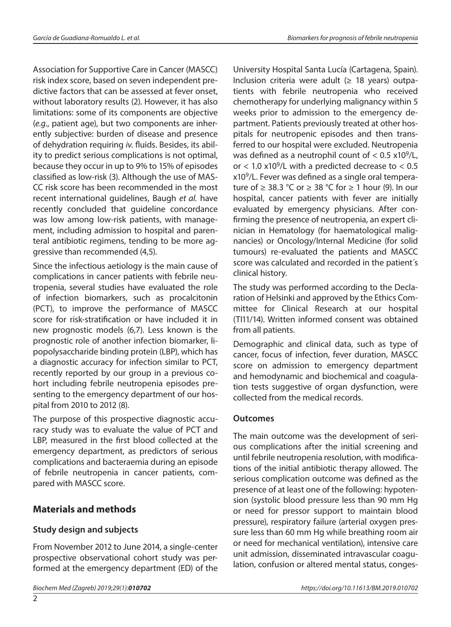Association for Supportive Care in Cancer (MASCC) risk index score, based on seven independent predictive factors that can be assessed at fever onset, without laboratory results (2). However, it has also limitations: some of its components are objective (*e.g*., patient age), but two components are inherently subjective: burden of disease and presence of dehydration requiring *iv.* fluids. Besides, its ability to predict serious complications is not optimal, because they occur in up to 9% to 15% of episodes classified as low-risk (3). Although the use of MAS-CC risk score has been recommended in the most recent international guidelines, Baugh *et al.* have recently concluded that guideline concordance was low among low-risk patients, with management, including admission to hospital and parenteral antibiotic regimens, tending to be more aggressive than recommended (4,5).

Since the infectious aetiology is the main cause of complications in cancer patients with febrile neutropenia, several studies have evaluated the role of infection biomarkers, such as procalcitonin (PCT), to improve the performance of MASCC score for risk-stratification or have included it in new prognostic models (6,7). Less known is the prognostic role of another infection biomarker, lipopolysaccharide binding protein (LBP), which has a diagnostic accuracy for infection similar to PCT, recently reported by our group in a previous cohort including febrile neutropenia episodes presenting to the emergency department of our hospital from 2010 to 2012 (8).

The purpose of this prospective diagnostic accuracy study was to evaluate the value of PCT and LBP, measured in the first blood collected at the emergency department, as predictors of serious complications and bacteraemia during an episode of febrile neutropenia in cancer patients, compared with MASCC score.

### **Materials and methods**

### **Study design and subjects**

From November 2012 to June 2014, a single-center prospective observational cohort study was performed at the emergency department (ED) of the

University Hospital Santa Lucía (Cartagena, Spain). Inclusion criteria were adult ( $\geq$  18 years) outpatients with febrile neutropenia who received chemotherapy for underlying malignancy within 5 weeks prior to admission to the emergency department. Patients previously treated at other hospitals for neutropenic episodes and then transferred to our hospital were excluded. Neutropenia was defined as a neutrophil count of  $< 0.5 \times 10^9$ /L, or  $< 1.0$  x10<sup>9</sup>/L with a predicted decrease to  $< 0.5$ x109/L. Fever was defined as a single oral temperature of  $\geq 38.3$  °C or  $\geq 38$  °C for  $\geq 1$  hour (9). In our hospital, cancer patients with fever are initially evaluated by emergency physicians. After confirming the presence of neutropenia, an expert clinician in Hematology (for haematological malignancies) or Oncology/Internal Medicine (for solid tumours) re-evaluated the patients and MASCC score was calculated and recorded in the patient´s clinical history.

The study was performed according to the Declaration of Helsinki and approved by the Ethics Committee for Clinical Research at our hospital (TI11/14). Written informed consent was obtained from all patients.

Demographic and clinical data, such as type of cancer, focus of infection, fever duration, MASCC score on admission to emergency department and hemodynamic and biochemical and coagulation tests suggestive of organ dysfunction, were collected from the medical records.

### **Outcomes**

The main outcome was the development of serious complications after the initial screening and until febrile neutropenia resolution, with modifications of the initial antibiotic therapy allowed. The serious complication outcome was defined as the presence of at least one of the following: hypotension (systolic blood pressure less than 90 mm Hg or need for pressor support to maintain blood pressure), respiratory failure (arterial oxygen pressure less than 60 mm Hg while breathing room air or need for mechanical ventilation), intensive care unit admission, disseminated intravascular coagulation, confusion or altered mental status, conges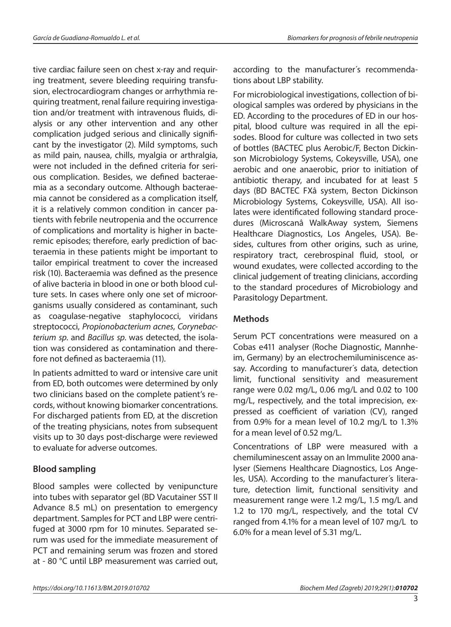tive cardiac failure seen on chest x-ray and requiring treatment, severe bleeding requiring transfusion, electrocardiogram changes or arrhythmia requiring treatment, renal failure requiring investigation and/or treatment with intravenous fluids, dialysis or any other intervention and any other complication judged serious and clinically significant by the investigator (2). Mild symptoms, such as mild pain, nausea, chills, myalgia or arthralgia, were not included in the defined criteria for serious complication. Besides, we defined bacteraemia as a secondary outcome. Although bacteraemia cannot be considered as a complication itself, it is a relatively common condition in cancer patients with febrile neutropenia and the occurrence of complications and mortality is higher in bacteremic episodes; therefore, early prediction of bacteraemia in these patients might be important to tailor empirical treatment to cover the increased risk (10). Bacteraemia was defined as the presence of alive bacteria in blood in one or both blood culture sets. In cases where only one set of microorganisms usually considered as contaminant, such as coagulase-negative staphylococci, viridans streptococci, *Propionobacterium acnes*, *Corynebacterium sp*. and *Bacillus sp*. was detected, the isolation was considered as contamination and therefore not defined as bacteraemia (11).

In patients admitted to ward or intensive care unit from ED, both outcomes were determined by only two clinicians based on the complete patient's records, without knowing biomarker concentrations. For discharged patients from ED, at the discretion of the treating physicians, notes from subsequent visits up to 30 days post-discharge were reviewed to evaluate for adverse outcomes.

### **Blood sampling**

Blood samples were collected by venipuncture into tubes with separator gel (BD Vacutainer SST II Advance 8.5 mL) on presentation to emergency department. Samples for PCT and LBP were centrifuged at 3000 rpm for 10 minutes. Separated serum was used for the immediate measurement of PCT and remaining serum was frozen and stored at - 80 °C until LBP measurement was carried out,

according to the manufacturer´s recommendations about LBP stability.

For microbiological investigations, collection of biological samples was ordered by physicians in the ED. According to the procedures of ED in our hospital, blood culture was required in all the episodes. Blood for culture was collected in two sets of bottles (BACTEC plus Aerobic/F, Becton Dickinson Microbiology Systems, Cokeysville, USA), one aerobic and one anaerobic, prior to initiation of antibiotic therapy, and incubated for at least 5 days (BD BACTEC FXâ system, Becton Dickinson Microbiology Systems, Cokeysville, USA). All isolates were identificated following standard procedures (Microscanâ WalkAway system, Siemens Healthcare Diagnostics, Los Angeles, USA). Besides, cultures from other origins, such as urine, respiratory tract, cerebrospinal fluid, stool, or wound exudates, were collected according to the clinical judgement of treating clinicians, according to the standard procedures of Microbiology and Parasitology Department.

### **Methods**

Serum PCT concentrations were measured on a Cobas e411 analyser (Roche Diagnostic, Mannheim, Germany) by an electrochemiluminiscence assay. According to manufacturer´s data, detection limit, functional sensitivity and measurement range were 0.02 mg/L, 0.06 mg/L and 0.02 to 100 mg/L, respectively, and the total imprecision, expressed as coefficient of variation (CV), ranged from 0.9% for a mean level of 10.2 mg/L to 1.3% for a mean level of 0.52 mg/L.

Concentrations of LBP were measured with a chemiluminescent assay on an Immulite 2000 analyser (Siemens Healthcare Diagnostics, Los Angeles, USA). According to the manufacturer´s literature, detection limit, functional sensitivity and measurement range were 1.2 mg/L, 1.5 mg/L and 1.2 to 170 mg/L, respectively, and the total CV ranged from 4.1% for a mean level of 107 mg/L to 6.0% for a mean level of 5.31 mg/L.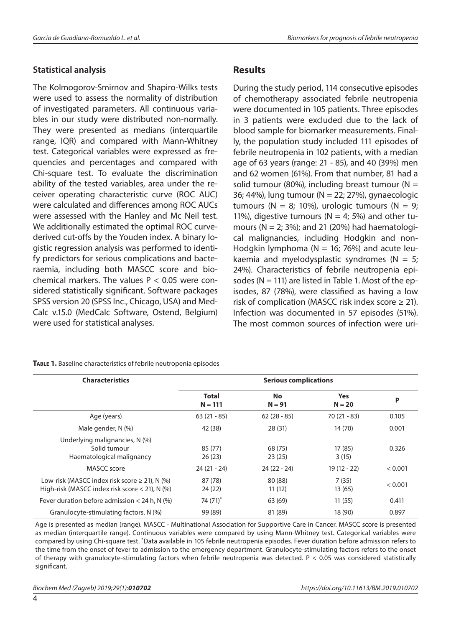#### **Statistical analysis**

The Kolmogorov-Smirnov and Shapiro-Wilks tests were used to assess the normality of distribution of investigated parameters. All continuous variables in our study were distributed non-normally. They were presented as medians (interquartile range, IQR) and compared with Mann-Whitney test. Categorical variables were expressed as frequencies and percentages and compared with Chi-square test. To evaluate the discrimination ability of the tested variables, area under the receiver operating characteristic curve (ROC AUC) were calculated and differences among ROC AUCs were assessed with the Hanley and Mc Neil test. We additionally estimated the optimal ROC curvederived cut-offs by the Youden index. A binary logistic regression analysis was performed to identify predictors for serious complications and bacteraemia, including both MASCC score and biochemical markers. The values  $P < 0.05$  were considered statistically significant. Software packages SPSS version 20 (SPSS Inc., Chicago, USA) and Med-Calc v.15.0 (MedCalc Software, Ostend, Belgium) were used for statistical analyses.

#### **Results**

During the study period, 114 consecutive episodes of chemotherapy associated febrile neutropenia were documented in 105 patients. Three episodes in 3 patients were excluded due to the lack of blood sample for biomarker measurements. Finally, the population study included 111 episodes of febrile neutropenia in 102 patients, with a median age of 63 years (range: 21 - 85), and 40 (39%) men and 62 women (61%). From that number, 81 had a solid tumour (80%), including breast tumour ( $N =$ 36; 44%), lung tumour (N = 22; 27%), gynaecologic tumours ( $N = 8$ ; 10%), urologic tumours ( $N = 9$ ; 11%), digestive tumours ( $N = 4$ ; 5%) and other tumours ( $N = 2$ ; 3%); and 21 (20%) had haematological malignancies, including Hodgkin and non-Hodgkin lymphoma ( $N = 16$ ; 76%) and acute leukaemia and myelodysplastic syndromes ( $N = 5$ ; 24%). Characteristics of febrile neutropenia episodes ( $N = 111$ ) are listed in Table 1. Most of the episodes, 87 (78%), were classified as having a low risk of complication (MASCC risk index score  $\geq$  21). Infection was documented in 57 episodes (51%). The most common sources of infection were uri-

| <b>Characteristics</b>                                                                                 | <b>Serious complications</b> |                       |                        |         |
|--------------------------------------------------------------------------------------------------------|------------------------------|-----------------------|------------------------|---------|
|                                                                                                        | <b>Total</b><br>$N = 111$    | <b>No</b><br>$N = 91$ | <b>Yes</b><br>$N = 20$ | P       |
| Age (years)                                                                                            | $63(21 - 85)$                | $62(28 - 85)$         | $70(21 - 83)$          | 0.105   |
| Male gender, N (%)                                                                                     | 42 (38)                      | 28(31)                | 14(70)                 | 0.001   |
| Underlying malignancies, N (%)<br>Solid tumour<br>Haematological malignancy                            | 85 (77)<br>26(23)            | 68 (75)<br>23(25)     | 17(85)<br>3(15)        | 0.326   |
| MASCC score                                                                                            | $24(21 - 24)$                | $24(22 - 24)$         | $19(12 - 22)$          | < 0.001 |
| Low-risk (MASCC index risk score $\geq$ 21). N (%)<br>High-risk (MASCC index risk score $<$ 21), N (%) | 87 (78)<br>24 (22)           | 80 (88)<br>11(12)     | 7(35)<br>13(65)        | < 0.001 |
| Fever duration before admission $<$ 24 h, N $\left(\% \right)$                                         | 74 $(71)^*$                  | 63 (69)               | 11(55)                 | 0.411   |
| Granulocyte-stimulating factors, N (%)                                                                 | 99 (89)                      | 81 (89)               | 18 (90)                | 0.897   |

**Table 1.** Baseline characteristics of febrile neutropenia episodes

Age is presented as median (range). MASCC - Multinational Association for Supportive Care in Cancer. MASCC score is presented as median (interquartile range). Continuous variables were compared by using Mann-Whitney test. Categorical variables were compared by using Chi-square test. \*Data available in 105 febrile neutropenia episodes. Fever duration before admission refers to the time from the onset of fever to admission to the emergency department. Granulocyte-stimulating factors refers to the onset of therapy with granulocyte-stimulating factors when febrile neutropenia was detected. P < 0.05 was considered statistically significant.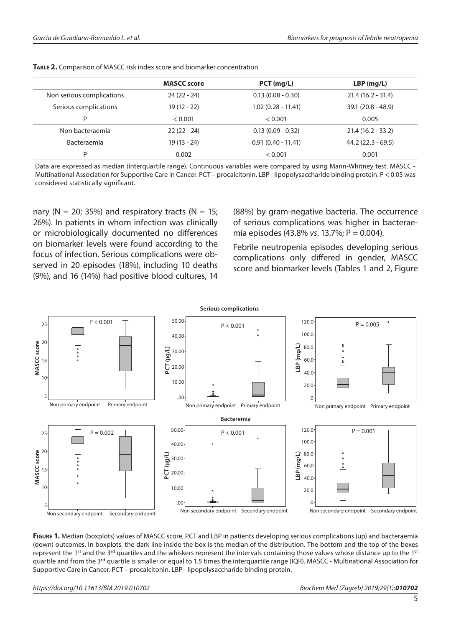|                           | <b>MASCC</b> score | $PCT$ (mg/L)         | $LBP$ (mg/L)        |
|---------------------------|--------------------|----------------------|---------------------|
| Non serious complications | $24(22 - 24)$      | $0.13(0.08 - 0.30)$  | $21.4(16.2 - 31.4)$ |
| Serious complications     | 19 (12 - 22)       | $1.02(0.28 - 11.41)$ | $39.1(20.8 - 48.9)$ |
| Þ                         | < 0.001            | < 0.001              | 0.005               |
| Non bacteraemia           | $22(22 - 24)$      | $0.13(0.09 - 0.32)$  | $21.4(16.2 - 33.2)$ |
| <b>Bacteraemia</b>        | 19 (13 - 24)       | $0.91(0.40 - 11.41)$ | $44.2(22.3 - 69.5)$ |
| P                         | 0.002              | < 0.001              | 0.001               |

**Table 2.** Comparison of MASCC risk index score and biomarker concentration

Data are expressed as median (interquartile range). Continuous variables were compared by using Mann-Whitney test. MASCC - Multinational Association for Supportive Care in Cancer. PCT – procalcitonin. LBP - lipopolysaccharide binding protein. P < 0.05 was considered statistically significant.

nary ( $N = 20$ ; 35%) and respiratory tracts ( $N = 15$ ; 26%). In patients in whom infection was clinically or microbiologically documented no differences on biomarker levels were found according to the focus of infection. Serious complications were observed in 20 episodes (18%), including 10 deaths (9%), and 16 (14%) had positive blood cultures, 14 (88%) by gram-negative bacteria. The occurrence of serious complications was higher in bacteraemia episodes (43.8% *vs*. 13.7%; P = 0.004).

Febrile neutropenia episodes developing serious complications only differed in gender, MASCC score and biomarker levels (Tables 1 and 2, Figure



**Figure 1.** Median (boxplots) values of MASCC score, PCT and LBP in patients developing serious complications (up) and bacteraemia (down) outcomes. In boxplots, the dark line inside the box is the median of the distribution. The bottom and the top of the boxes represent the 1<sup>st</sup> and the 3<sup>rd</sup> quartiles and the whiskers represent the intervals containing those values whose distance up to the 1<sup>st</sup> quartile and from the 3<sup>rd</sup> quartile is smaller or equal to 1.5 times the interquartile range (IQR). MASCC - Multinational Association for Supportive Care in Cancer. PCT – procalcitonin. LBP - lipopolysaccharide binding protein.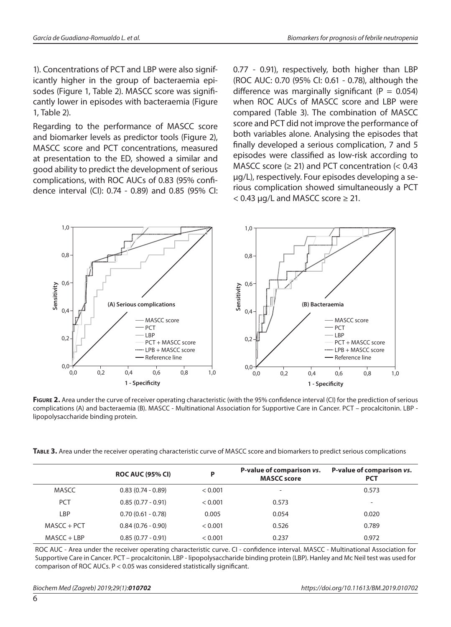1). Concentrations of PCT and LBP were also significantly higher in the group of bacteraemia episodes (Figure 1, Table 2). MASCC score was significantly lower in episodes with bacteraemia (Figure 1, Table 2).

Regarding to the performance of MASCC score and biomarker levels as predictor tools (Figure 2), MASCC score and PCT concentrations, measured at presentation to the ED, showed a similar and good ability to predict the development of serious complications, with ROC AUCs of 0.83 (95% confidence interval (CI): 0.74 - 0.89) and 0.85 (95% CI: 0.77 - 0.91), respectively, both higher than LBP (ROC AUC: 0.70 (95% CI: 0.61 - 0.78), although the difference was marginally significant ( $P = 0.054$ ) when ROC AUCs of MASCC score and LBP were compared (Table 3). The combination of MASCC score and PCT did not improve the performance of both variables alone. Analysing the episodes that finally developed a serious complication, 7 and 5 episodes were classified as low-risk according to MASCC score  $(\geq 21)$  and PCT concentration  $(< 0.43$ µg/L), respectively. Four episodes developing a serious complication showed simultaneously a PCT  $<$  0.43 µg/L and MASCC score  $\geq$  21.



Figure 2. Area under the curve of receiver operating characteristic (with the 95% confidence interval (CI) for the prediction of serious complications (A) and bacteraemia (B). MASCC - Multinational Association for Supportive Care in Cancer. PCT – procalcitonin. LBP lipopolysaccharide binding protein.

**Table 3.** Area under the receiver operating characteristic curve of MASCC score and biomarkers to predict serious complications

|               | <b>ROC AUC (95% CI)</b> | P       | P-value of comparison vs.<br><b>MASCC</b> score | P-value of comparison vs.<br><b>PCT</b> |
|---------------|-------------------------|---------|-------------------------------------------------|-----------------------------------------|
| <b>MASCC</b>  | $0.83(0.74 - 0.89)$     | < 0.001 | $\overline{\phantom{a}}$                        | 0.573                                   |
| <b>PCT</b>    | $0.85(0.77 - 0.91)$     | < 0.001 | 0.573                                           |                                         |
| LBP           | $0.70(0.61 - 0.78)$     | 0.005   | 0.054                                           | 0.020                                   |
| $MASCC + PCT$ | $0.84(0.76 - 0.90)$     | < 0.001 | 0.526                                           | 0.789                                   |
| $MASCC + LBP$ | $0.85(0.77 - 0.91)$     | < 0.001 | 0.237                                           | 0.972                                   |

ROC AUC - Area under the receiver operating characteristic curve. CI - confidence interval. MASCC - Multinational Association for Supportive Care in Cancer. PCT – procalcitonin. LBP - lipopolysaccharide binding protein (LBP). Hanley and Mc Neil test was used for comparison of ROC AUCs. P < 0.05 was considered statistically significant.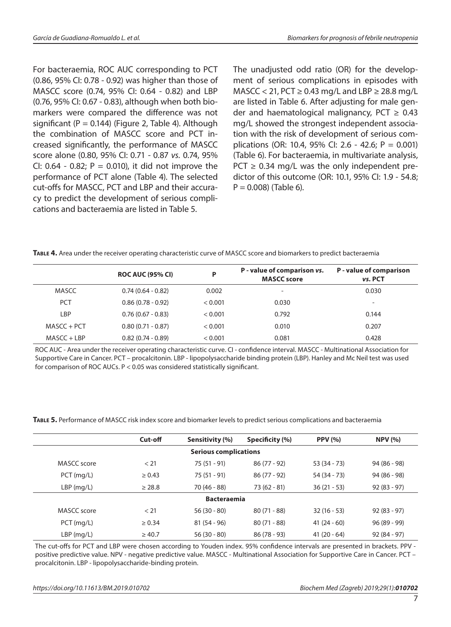For bacteraemia, ROC AUC corresponding to PCT (0.86, 95% CI: 0.78 - 0.92) was higher than those of MASCC score (0.74, 95% CI: 0.64 - 0.82) and LBP (0.76, 95% CI: 0.67 - 0.83), although when both biomarkers were compared the difference was not significant ( $P = 0.144$ ) (Figure 2, Table 4). Although the combination of MASCC score and PCT increased significantly, the performance of MASCC score alone (0.80, 95% CI: 0.71 - 0.87 *vs.* 0.74, 95% CI:  $0.64 - 0.82$ ;  $P = 0.010$ ), it did not improve the performance of PCT alone (Table 4). The selected cut-offs for MASCC, PCT and LBP and their accuracy to predict the development of serious complications and bacteraemia are listed in Table 5.

The unadjusted odd ratio (OR) for the development of serious complications in episodes with MASCC < 21, PCT  $\geq$  0.43 mg/L and LBP  $\geq$  28.8 mg/L are listed in Table 6. After adjusting for male gender and haematological malignancy,  $PCT \geq 0.43$ mg/L showed the strongest independent association with the risk of development of serious complications (OR: 10.4, 95% CI: 2.6 - 42.6; P = 0.001) (Table 6). For bacteraemia, in multivariate analysis,  $PCT \geq 0.34$  mg/L was the only independent predictor of this outcome (OR: 10.1, 95% CI: 1.9 - 54.8;  $P = 0.008$  (Table 6).

**Table 4.** Area under the receiver operating characteristic curve of MASCC score and biomarkers to predict bacteraemia

|               | <b>ROC AUC (95% CI)</b> | P       | P - value of comparison vs.<br><b>MASCC score</b> | P - value of comparison<br>vs. PCT |
|---------------|-------------------------|---------|---------------------------------------------------|------------------------------------|
| <b>MASCC</b>  | $0.74(0.64 - 0.82)$     | 0.002   | $\overline{\phantom{a}}$                          | 0.030                              |
| <b>PCT</b>    | $0.86(0.78 - 0.92)$     | < 0.001 | 0.030                                             | $\overline{\phantom{a}}$           |
| LBP           | $0.76(0.67 - 0.83)$     | < 0.001 | 0.792                                             | 0.144                              |
| MASCC + PCT   | $0.80(0.71 - 0.87)$     | < 0.001 | 0.010                                             | 0.207                              |
| $MASCC + LBP$ | $0.82(0.74 - 0.89)$     | < 0.001 | 0.081                                             | 0.428                              |

ROC AUC - Area under the receiver operating characteristic curve. CI - confidence interval. MASCC - Multinational Association for Supportive Care in Cancer. PCT – procalcitonin. LBP - lipopolysaccharide binding protein (LBP). Hanley and Mc Neil test was used for comparison of ROC AUCs. P < 0.05 was considered statistically significant.

**Table 5.** Performance of MASCC risk index score and biomarker levels to predict serious complications and bacteraemia

|              | Cut-off     | Sensitivity (%)              | Specificity (%) | <b>PPV</b> (%) | NPV(%)        |
|--------------|-------------|------------------------------|-----------------|----------------|---------------|
|              |             | <b>Serious complications</b> |                 |                |               |
| MASCC score  | < 21        | $75(51 - 91)$                | $86(77-92)$     | $53(34 - 73)$  | $94(86 - 98)$ |
| $PCT$ (mg/L) | $\geq 0.43$ | $75(51 - 91)$                | $86(77-92)$     | $54(34 - 73)$  | $94(86 - 98)$ |
| $LBP$ (mg/L) | $\geq 28.8$ | 70 (46 - 88)                 | $73(62 - 81)$   | $36(21 - 53)$  | $92(83 - 97)$ |
|              |             | <b>Bacteraemia</b>           |                 |                |               |
| MASCC score  | < 21        | $56(30-80)$                  | $80(71 - 88)$   | $32(16 - 53)$  | $92(83 - 97)$ |
| $PCT$ (mg/L) | $\geq 0.34$ | $81(54-96)$                  | $80(71 - 88)$   | $41(24-60)$    | $96(89-99)$   |
| LBP (mg/L)   | $\geq 40.7$ | $56(30-80)$                  | $86(78-93)$     | $41(20 - 64)$  | $92(84-97)$   |

The cut-offs for PCT and LBP were chosen according to Youden index. 95% confidence intervals are presented in brackets. PPV positive predictive value. NPV - negative predictive value. MASCC - Multinational Association for Supportive Care in Cancer. PCT – procalcitonin. LBP - lipopolysaccharide-binding protein.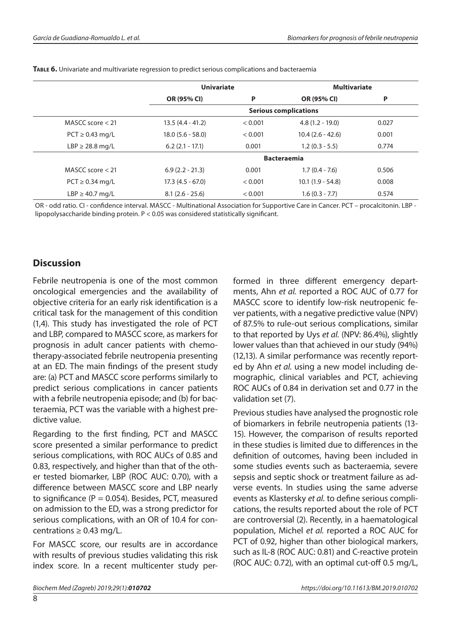|                      | <b>Univariate</b>            |         | <b>Multivariate</b> |       |  |
|----------------------|------------------------------|---------|---------------------|-------|--|
|                      | OR (95% CI)                  | P       | OR (95% CI)         | P     |  |
|                      | <b>Serious complications</b> |         |                     |       |  |
| MASCC score $<$ 21   | $13.5(4.4 - 41.2)$           | < 0.001 | $4.8(1.2 - 19.0)$   | 0.027 |  |
| $PCT \geq 0.43$ mg/L | $18.0(5.6 - 58.0)$           | < 0.001 | $10.4(2.6 - 42.6)$  | 0.001 |  |
| $LBP \geq 28.8$ mg/L | $6.2$ (2.1 - 17.1)           | 0.001   | $1.2(0.3 - 5.5)$    | 0.774 |  |
|                      |                              |         | <b>Bacteraemia</b>  |       |  |
| MASCC score $<$ 21   | $6.9(2.2 - 21.3)$            | 0.001   | $1.7(0.4 - 7.6)$    | 0.506 |  |
| $PCT \geq 0.34$ mg/L | $17.3(4.5 - 67.0)$           | < 0.001 | $10.1(1.9 - 54.8)$  | 0.008 |  |
| $LBP \geq 40.7$ mg/L | $8.1(2.6 - 25.6)$            | < 0.001 | $1.6(0.3 - 7.7)$    | 0.574 |  |

**Table 6.** Univariate and multivariate regression to predict serious complications and bacteraemia

OR - odd ratio. CI - confidence interval. MASCC - Multinational Association for Supportive Care in Cancer. PCT – procalcitonin. LBP lipopolysaccharide binding protein. P < 0.05 was considered statistically significant.

### **Discussion**

Febrile neutropenia is one of the most common oncological emergencies and the availability of objective criteria for an early risk identification is a critical task for the management of this condition (1,4). This study has investigated the role of PCT and LBP, compared to MASCC score, as markers for prognosis in adult cancer patients with chemotherapy-associated febrile neutropenia presenting at an ED. The main findings of the present study are: (a) PCT and MASCC score performs similarly to predict serious complications in cancer patients with a febrile neutropenia episode; and (b) for bacteraemia, PCT was the variable with a highest predictive value.

Regarding to the first finding, PCT and MASCC score presented a similar performance to predict serious complications, with ROC AUCs of 0.85 and 0.83, respectively, and higher than that of the other tested biomarker, LBP (ROC AUC: 0.70), with a difference between MASCC score and LBP nearly to significance ( $P = 0.054$ ). Besides, PCT, measured on admission to the ED, was a strong predictor for serious complications, with an OR of 10.4 for concentrations  $\geq 0.43$  mg/L.

For MASCC score, our results are in accordance with results of previous studies validating this risk index score. In a recent multicenter study performed in three different emergency departments, Ahn *et al.* reported a ROC AUC of 0.77 for MASCC score to identify low-risk neutropenic fever patients, with a negative predictive value (NPV) of 87.5% to rule-out serious complications, similar to that reported by Uys *et al.* (NPV: 86.4%), slightly lower values than that achieved in our study (94%) (12,13). A similar performance was recently reported by Ahn *et al.* using a new model including demographic, clinical variables and PCT, achieving ROC AUCs of 0.84 in derivation set and 0.77 in the validation set (7).

Previous studies have analysed the prognostic role of biomarkers in febrile neutropenia patients (13- 15). However, the comparison of results reported in these studies is limited due to differences in the definition of outcomes, having been included in some studies events such as bacteraemia, severe sepsis and septic shock or treatment failure as adverse events. In studies using the same adverse events as Klastersky *et al.* to define serious complications, the results reported about the role of PCT are controversial (2). Recently, in a haematological population, Michel *et al.* reported a ROC AUC for PCT of 0.92, higher than other biological markers, such as IL-8 (ROC AUC: 0.81) and C-reactive protein (ROC AUC: 0.72), with an optimal cut-off 0.5 mg/L,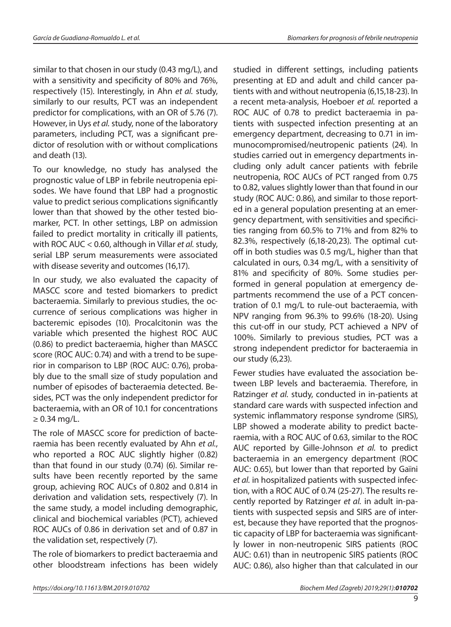similar to that chosen in our study (0.43 mg/L), and with a sensitivity and specificity of 80% and 76%, respectively (15). Interestingly, in Ahn *et al.* study, similarly to our results, PCT was an independent predictor for complications, with an OR of 5.76 (7). However, in Uys *et al.* study, none of the laboratory parameters, including PCT, was a significant predictor of resolution with or without complications and death (13).

To our knowledge, no study has analysed the prognostic value of LBP in febrile neutropenia episodes. We have found that LBP had a prognostic value to predict serious complications significantly lower than that showed by the other tested biomarker, PCT. In other settings, LBP on admission failed to predict mortality in critically ill patients, with ROC AUC < 0.60, although in Villar *et al.* study, serial LBP serum measurements were associated with disease severity and outcomes (16,17).

In our study, we also evaluated the capacity of MASCC score and tested biomarkers to predict bacteraemia. Similarly to previous studies, the occurrence of serious complications was higher in bacteremic episodes (10). Procalcitonin was the variable which presented the highest ROC AUC (0.86) to predict bacteraemia, higher than MASCC score (ROC AUC: 0.74) and with a trend to be superior in comparison to LBP (ROC AUC: 0.76), probably due to the small size of study population and number of episodes of bacteraemia detected. Besides, PCT was the only independent predictor for bacteraemia, with an OR of 10.1 for concentrations  $≥ 0.34$  mg/L.

The role of MASCC score for prediction of bacteraemia has been recently evaluated by Ahn *et al.*, who reported a ROC AUC slightly higher (0.82) than that found in our study (0.74) (6). Similar results have been recently reported by the same group, achieving ROC AUCs of 0.802 and 0.814 in derivation and validation sets, respectively (7). In the same study, a model including demographic, clinical and biochemical variables (PCT), achieved ROC AUCs of 0.86 in derivation set and of 0.87 in the validation set, respectively (7).

The role of biomarkers to predict bacteraemia and other bloodstream infections has been widely studied in different settings, including patients presenting at ED and adult and child cancer patients with and without neutropenia (6,15,18-23). In a recent meta-analysis, Hoeboer *et al.* reported a ROC AUC of 0.78 to predict bacteraemia in patients with suspected infection presenting at an emergency department, decreasing to 0.71 in immunocompromised/neutropenic patients (24). In studies carried out in emergency departments including only adult cancer patients with febrile neutropenia, ROC AUCs of PCT ranged from 0.75 to 0.82, values slightly lower than that found in our study (ROC AUC: 0.86), and similar to those reported in a general population presenting at an emergency department, with sensitivities and specificities ranging from 60.5% to 71% and from 82% to 82.3%, respectively (6,18-20,23). The optimal cutoff in both studies was 0.5 mg/L, higher than that calculated in ours, 0.34 mg/L, with a sensitivity of 81% and specificity of 80%. Some studies performed in general population at emergency departments recommend the use of a PCT concentration of 0.1 mg/L to rule-out bacteraemia, with NPV ranging from 96.3% to 99.6% (18-20). Using this cut-off in our study, PCT achieved a NPV of 100%. Similarly to previous studies, PCT was a strong independent predictor for bacteraemia in our study (6,23).

Fewer studies have evaluated the association between LBP levels and bacteraemia. Therefore, in Ratzinger *et al.* study, conducted in in-patients at standard care wards with suspected infection and systemic inflammatory response syndrome (SIRS), LBP showed a moderate ability to predict bacteraemia, with a ROC AUC of 0.63, similar to the ROC AUC reported by Gille-Johnson *et al.* to predict bacteraemia in an emergency department (ROC AUC: 0.65), but lower than that reported by Gaïni *et al.* in hospitalized patients with suspected infection, with a ROC AUC of 0.74 (25-27). The results recently reported by Ratzinger *et al.* in adult in-patients with suspected sepsis and SIRS are of interest, because they have reported that the prognostic capacity of LBP for bacteraemia was significantly lower in non-neutropenic SIRS patients (ROC AUC: 0.61) than in neutropenic SIRS patients (ROC AUC: 0.86), also higher than that calculated in our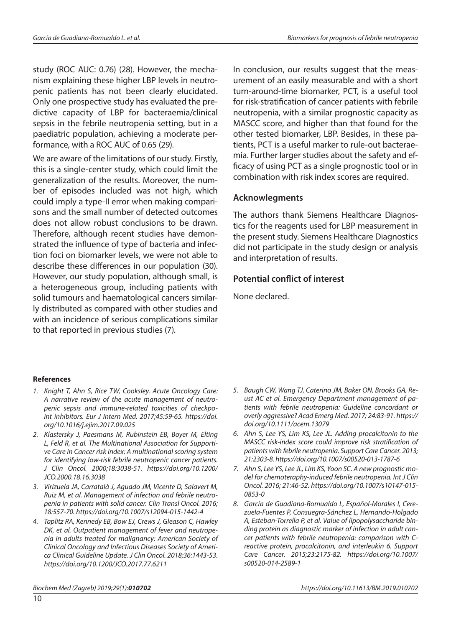study (ROC AUC: 0.76) (28). However, the mechanism explaining these higher LBP levels in neutropenic patients has not been clearly elucidated. Only one prospective study has evaluated the predictive capacity of LBP for bacteraemia/clinical sepsis in the febrile neutropenia setting, but in a paediatric population, achieving a moderate performance, with a ROC AUC of 0.65 (29).

We are aware of the limitations of our study. Firstly, this is a single-center study, which could limit the generalization of the results. Moreover, the number of episodes included was not high, which could imply a type-II error when making comparisons and the small number of detected outcomes does not allow robust conclusions to be drawn. Therefore, although recent studies have demonstrated the influence of type of bacteria and infection foci on biomarker levels, we were not able to describe these differences in our population (30). However, our study population, although small, is a heterogeneous group, including patients with solid tumours and haematological cancers similarly distributed as compared with other studies and with an incidence of serious complications similar to that reported in previous studies (7).

In conclusion, our results suggest that the measurement of an easily measurable and with a short turn-around-time biomarker, PCT, is a useful tool for risk-stratification of cancer patients with febrile neutropenia, with a similar prognostic capacity as MASCC score, and higher than that found for the other tested biomarker, LBP. Besides, in these patients, PCT is a useful marker to rule-out bacteraemia. Further larger studies about the safety and efficacy of using PCT as a single prognostic tool or in combination with risk index scores are required.

#### **Acknowlegments**

The authors thank Siemens Healthcare Diagnostics for the reagents used for LBP measurement in the present study. Siemens Healthcare Diagnostics did not participate in the study design or analysis and interpretation of results.

#### **Potential conflict of interest**

None declared.

#### **References**

- *1. Knight T, Ahn S, Rice TW, Cooksley. Acute Oncology Care: A narrative review of the acute management of neutropenic sepsis and immune-related toxicities of checkpoint inhibitors. Eur J Intern Med. 2017;45:59-65. [https://doi.](https://doi.org/10.1016/j.ejim.2017.09.025) [org/10.1016/j.ejim.2017.09.025](https://doi.org/10.1016/j.ejim.2017.09.025)*
- *2. Klastersky J, Paesmans M, Rubinstein EB, Boyer M, Elting L, Feld R, et al. The Multinational Association for Supportive Care in Cancer risk index: A multinational scoring system for identifying low-risk febrile neutropenic cancer patients. J Clin Oncol. 2000;18:3038-51. [https://doi.org/10.1200/](https://doi.org/10.1200/JCO.2000.18.16.3038) [JCO.2000.18.16.3038](https://doi.org/10.1200/JCO.2000.18.16.3038)*
- *3. [Virizuela JA](https://www.ncbi.nlm.nih.gov/pubmed/?term=Virizuela JA%5BAuthor%5D&cauthor=true&cauthor_uid=26577106), [Carratalà J](https://www.ncbi.nlm.nih.gov/pubmed/?term=Carratal%C3%A0 J%5BAuthor%5D&cauthor=true&cauthor_uid=26577106), [Aguado JM,](https://www.ncbi.nlm.nih.gov/pubmed/?term=Aguado JM%5BAuthor%5D&cauthor=true&cauthor_uid=26577106) [Vicente D,](https://www.ncbi.nlm.nih.gov/pubmed/?term=Vicente D%5BAuthor%5D&cauthor=true&cauthor_uid=26577106) [Salavert M,](https://www.ncbi.nlm.nih.gov/pubmed/?term=Salavert M%5BAuthor%5D&cauthor=true&cauthor_uid=26577106) [Ruiz M,](https://www.ncbi.nlm.nih.gov/pubmed/?term=Ruiz M%5BAuthor%5D&cauthor=true&cauthor_uid=26577106) et al. Management of infection and febrile neutropenia in patients with solid cancer. [Clin Transl Oncol.](https://www.ncbi.nlm.nih.gov/pubmed/26577106) 2016; 18:557-70.<https://doi.org/10.1007/s12094-015-1442-4>*
- *4. Taplitz RA, Kennedy EB, Bow EJ, Crews J, Gleason C, Hawley DK, et al. Outpatient management of fever and neutropenia in adults treated for malignancy: American Society of Clinical Oncology and Infectious Diseases Society of America Clinical Guideline Update. J Clin Oncol. 2018;36:1443-53. <https://doi.org/10.1200/JCO.2017.77.6211>*
- *5. Baugh CW, Wang TJ, Caterino JM, Baker ON, Brooks GA, Reust AC et al. Emergency Department management of patients with febrile neutropenia: Guideline concordant or overly aggressive? Acad Emerg Med. 2017; 24:83-91. [https://](https://doi.org/10.1111/acem.13079) [doi.org/10.1111/acem.13079](https://doi.org/10.1111/acem.13079)*
- *6. Ahn S, Lee YS, Lim KS, Lee JL. Adding procalcitonin to the MASCC risk-index score could improve risk stratification of patients with febrile neutropenia. Support Care Cancer. 2013; 21:2303-8.<https://doi.org/10.1007/s00520-013-1787-6>*
- *7. Ahn S, Lee YS, Lee JL, Lim KS, Yoon SC. A new prognostic model for chemoteraphy-induced febrile neutropenia. Int J Clin Oncol. 2016; 21:46-52. [https://doi.org/10.1007/s10147-015-](https://doi.org/10.1007/s10147-015-0853-0) [0853-0](https://doi.org/10.1007/s10147-015-0853-0)*
- *8. García de Guadiana-Romualdo L, Español-Morales I, Cerezuela-Fuentes P, Consuegra-Sánchez L, Hernando-Holgado A, Esteban-Torrella P, et al. Value of lipopolysaccharide binding protein as diagnostic marker of infection in adult cancer patients with febrile neutropenia: comparison with Creactive protein, procalcitonin, and interleukin 6. Support Care Cancer. 2015;23:2175-82. [https://doi.org/10.1007/](https://doi.org/10.1007/s00520-014-2589-1) [s00520-014-2589-1](https://doi.org/10.1007/s00520-014-2589-1)*